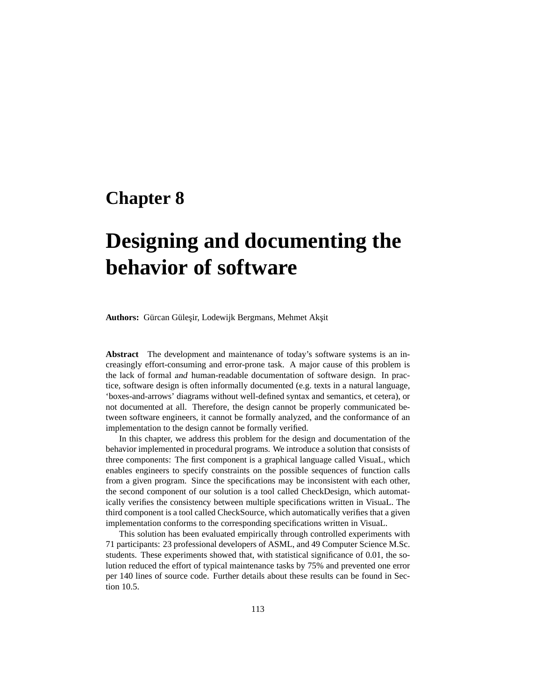# **Chapter 8**

# **Designing and documenting the behavior of software**

Authors: Gürcan Güleşir, Lodewijk Bergmans, Mehmet Akşit

**Abstract** The development and maintenance of today's software systems is an increasingly effort-consuming and error-prone task. A major cause of this problem is the lack of formal and human-readable documentation of software design. In practice, software design is often informally documented (e.g. texts in a natural language, 'boxes-and-arrows' diagrams without well-defined syntax and semantics, et cetera), or not documented at all. Therefore, the design cannot be properly communicated between software engineers, it cannot be formally analyzed, and the conformance of an implementation to the design cannot be formally verified.

In this chapter, we address this problem for the design and documentation of the behavior implemented in procedural programs. We introduce a solution that consists of three components: The first component is a graphical language called VisuaL, which enables engineers to specify constraints on the possible sequences of function calls from a given program. Since the specifications may be inconsistent with each other, the second component of our solution is a tool called CheckDesign, which automatically verifies the consistency between multiple specifications written in VisuaL. The third component is a tool called CheckSource, which automatically verifies that a given implementation conforms to the corresponding specifications written in VisuaL.

This solution has been evaluated empirically through controlled experiments with 71 participants: 23 professional developers of ASML, and 49 Computer Science M.Sc. students. These experiments showed that, with statistical significance of 0.01, the solution reduced the effort of typical maintenance tasks by 75% and prevented one error per 140 lines of source code. Further details about these results can be found in Section 10.5.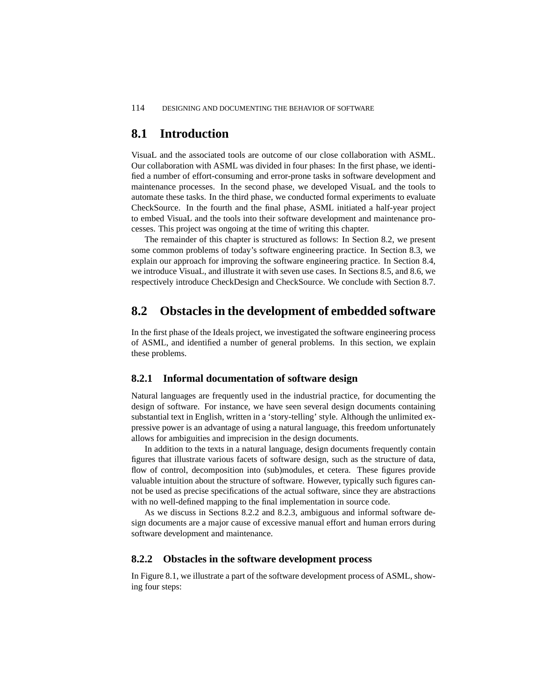# **8.1 Introduction**

VisuaL and the associated tools are outcome of our close collaboration with ASML. Our collaboration with ASML was divided in four phases: In the first phase, we identified a number of effort-consuming and error-prone tasks in software development and maintenance processes. In the second phase, we developed VisuaL and the tools to automate these tasks. In the third phase, we conducted formal experiments to evaluate CheckSource. In the fourth and the final phase, ASML initiated a half-year project to embed VisuaL and the tools into their software development and maintenance processes. This project was ongoing at the time of writing this chapter.

The remainder of this chapter is structured as follows: In Section 8.2, we present some common problems of today's software engineering practice. In Section 8.3, we explain our approach for improving the software engineering practice. In Section 8.4, we introduce VisuaL, and illustrate it with seven use cases. In Sections 8.5, and 8.6, we respectively introduce CheckDesign and CheckSource. We conclude with Section 8.7.

# **8.2 Obstacles in the development of embedded software**

In the first phase of the Ideals project, we investigated the software engineering process of ASML, and identified a number of general problems. In this section, we explain these problems.

#### **8.2.1 Informal documentation of software design**

Natural languages are frequently used in the industrial practice, for documenting the design of software. For instance, we have seen several design documents containing substantial text in English, written in a 'story-telling' style. Although the unlimited expressive power is an advantage of using a natural language, this freedom unfortunately allows for ambiguities and imprecision in the design documents.

In addition to the texts in a natural language, design documents frequently contain figures that illustrate various facets of software design, such as the structure of data, flow of control, decomposition into (sub)modules, et cetera. These figures provide valuable intuition about the structure of software. However, typically such figures cannot be used as precise specifications of the actual software, since they are abstractions with no well-defined mapping to the final implementation in source code.

As we discuss in Sections 8.2.2 and 8.2.3, ambiguous and informal software design documents are a major cause of excessive manual effort and human errors during software development and maintenance.

#### **8.2.2 Obstacles in the software development process**

In Figure 8.1, we illustrate a part of the software development process of ASML, showing four steps: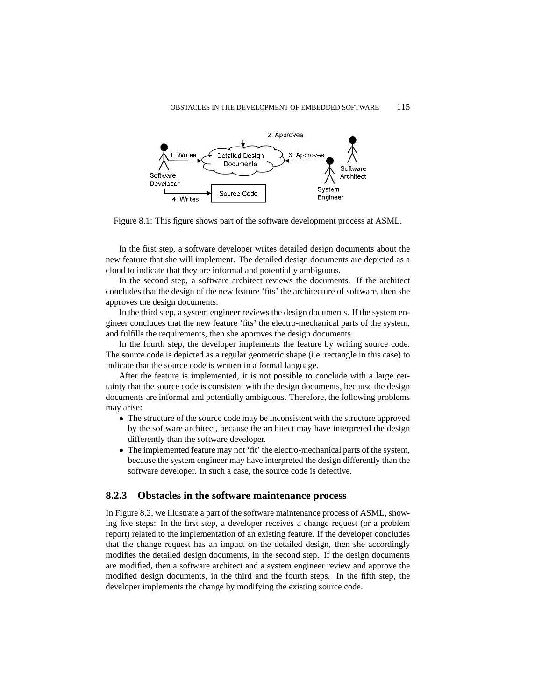

Figure 8.1: This figure shows part of the software development process at ASML.

In the first step, a software developer writes detailed design documents about the new feature that she will implement. The detailed design documents are depicted as a cloud to indicate that they are informal and potentially ambiguous.

In the second step, a software architect reviews the documents. If the architect concludes that the design of the new feature 'fits' the architecture of software, then she approves the design documents.

In the third step, a system engineer reviews the design documents. If the system engineer concludes that the new feature 'fits' the electro-mechanical parts of the system, and fulfills the requirements, then she approves the design documents.

In the fourth step, the developer implements the feature by writing source code. The source code is depicted as a regular geometric shape (i.e. rectangle in this case) to indicate that the source code is written in a formal language.

After the feature is implemented, it is not possible to conclude with a large certainty that the source code is consistent with the design documents, because the design documents are informal and potentially ambiguous. Therefore, the following problems may arise:

- The structure of the source code may be inconsistent with the structure approved by the software architect, because the architect may have interpreted the design differently than the software developer.
- The implemented feature may not 'fit' the electro-mechanical parts of the system, because the system engineer may have interpreted the design differently than the software developer. In such a case, the source code is defective.

## **8.2.3 Obstacles in the software maintenance process**

In Figure 8.2, we illustrate a part of the software maintenance process of ASML, showing five steps: In the first step, a developer receives a change request (or a problem report) related to the implementation of an existing feature. If the developer concludes that the change request has an impact on the detailed design, then she accordingly modifies the detailed design documents, in the second step. If the design documents are modified, then a software architect and a system engineer review and approve the modified design documents, in the third and the fourth steps. In the fifth step, the developer implements the change by modifying the existing source code.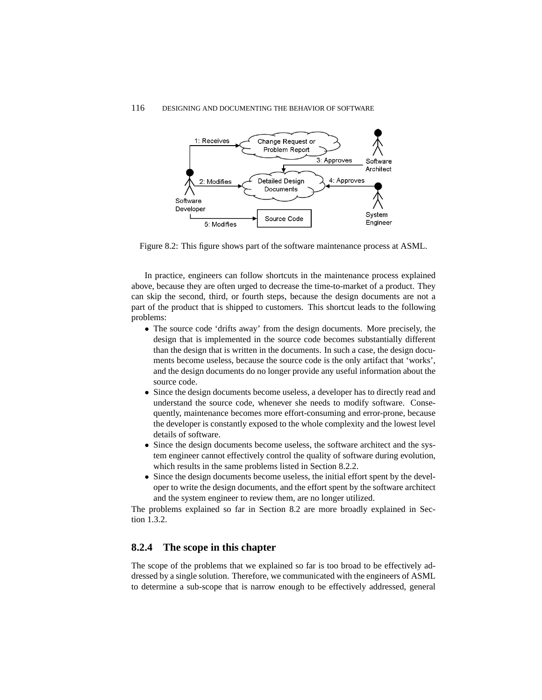

Figure 8.2: This figure shows part of the software maintenance process at ASML.

In practice, engineers can follow shortcuts in the maintenance process explained above, because they are often urged to decrease the time-to-market of a product. They can skip the second, third, or fourth steps, because the design documents are not a part of the product that is shipped to customers. This shortcut leads to the following problems:

- The source code 'drifts away' from the design documents. More precisely, the design that is implemented in the source code becomes substantially different than the design that is written in the documents. In such a case, the design documents become useless, because the source code is the only artifact that 'works', and the design documents do no longer provide any useful information about the source code.
- Since the design documents become useless, a developer has to directly read and understand the source code, whenever she needs to modify software. Consequently, maintenance becomes more effort-consuming and error-prone, because the developer is constantly exposed to the whole complexity and the lowest level details of software.
- Since the design documents become useless, the software architect and the system engineer cannot effectively control the quality of software during evolution, which results in the same problems listed in Section 8.2.2.
- Since the design documents become useless, the initial effort spent by the developer to write the design documents, and the effort spent by the software architect and the system engineer to review them, are no longer utilized.

The problems explained so far in Section 8.2 are more broadly explained in Section 1.3.2.

#### **8.2.4 The scope in this chapter**

The scope of the problems that we explained so far is too broad to be effectively addressed by a single solution. Therefore, we communicated with the engineers of ASML to determine a sub-scope that is narrow enough to be effectively addressed, general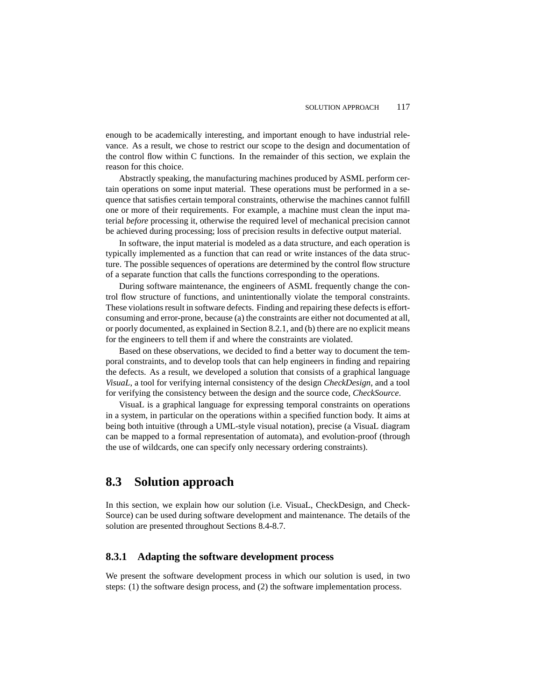enough to be academically interesting, and important enough to have industrial relevance. As a result, we chose to restrict our scope to the design and documentation of the control flow within C functions. In the remainder of this section, we explain the reason for this choice.

Abstractly speaking, the manufacturing machines produced by ASML perform certain operations on some input material. These operations must be performed in a sequence that satisfies certain temporal constraints, otherwise the machines cannot fulfill one or more of their requirements. For example, a machine must clean the input material *before* processing it, otherwise the required level of mechanical precision cannot be achieved during processing; loss of precision results in defective output material.

In software, the input material is modeled as a data structure, and each operation is typically implemented as a function that can read or write instances of the data structure. The possible sequences of operations are determined by the control flow structure of a separate function that calls the functions corresponding to the operations.

During software maintenance, the engineers of ASML frequently change the control flow structure of functions, and unintentionally violate the temporal constraints. These violations result in software defects. Finding and repairing these defects is effortconsuming and error-prone, because (a) the constraints are either not documented at all, or poorly documented, as explained in Section 8.2.1, and (b) there are no explicit means for the engineers to tell them if and where the constraints are violated.

Based on these observations, we decided to find a better way to document the temporal constraints, and to develop tools that can help engineers in finding and repairing the defects. As a result, we developed a solution that consists of a graphical language *VisuaL*, a tool for verifying internal consistency of the design *CheckDesign*, and a tool for verifying the consistency between the design and the source code, *CheckSource*.

VisuaL is a graphical language for expressing temporal constraints on operations in a system, in particular on the operations within a specified function body. It aims at being both intuitive (through a UML-style visual notation), precise (a VisuaL diagram can be mapped to a formal representation of automata), and evolution-proof (through the use of wildcards, one can specify only necessary ordering constraints).

# **8.3 Solution approach**

In this section, we explain how our solution (i.e. VisuaL, CheckDesign, and Check-Source) can be used during software development and maintenance. The details of the solution are presented throughout Sections 8.4-8.7.

#### **8.3.1 Adapting the software development process**

We present the software development process in which our solution is used, in two steps: (1) the software design process, and (2) the software implementation process.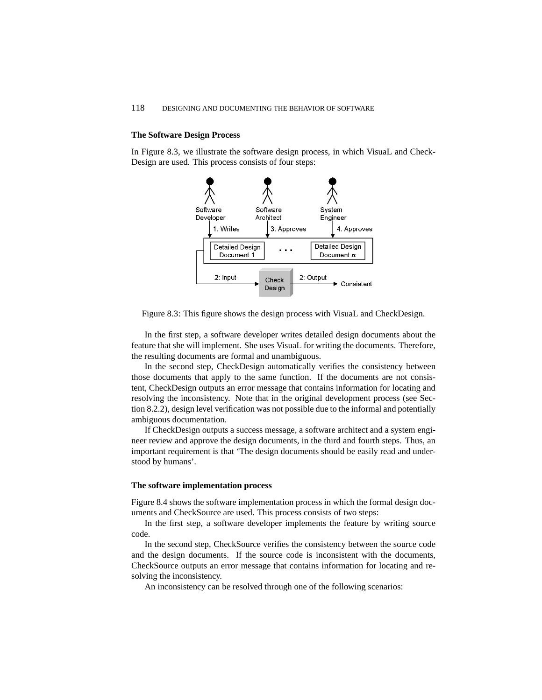#### **The Software Design Process**

In Figure 8.3, we illustrate the software design process, in which VisuaL and Check-Design are used. This process consists of four steps:



Figure 8.3: This figure shows the design process with VisuaL and CheckDesign.

In the first step, a software developer writes detailed design documents about the feature that she will implement. She uses VisuaL for writing the documents. Therefore, the resulting documents are formal and unambiguous.

In the second step, CheckDesign automatically verifies the consistency between those documents that apply to the same function. If the documents are not consistent, CheckDesign outputs an error message that contains information for locating and resolving the inconsistency. Note that in the original development process (see Section 8.2.2), design level verification was not possible due to the informal and potentially ambiguous documentation.

If CheckDesign outputs a success message, a software architect and a system engineer review and approve the design documents, in the third and fourth steps. Thus, an important requirement is that 'The design documents should be easily read and understood by humans'.

#### **The software implementation process**

Figure 8.4 shows the software implementation process in which the formal design documents and CheckSource are used. This process consists of two steps:

In the first step, a software developer implements the feature by writing source code.

In the second step, CheckSource verifies the consistency between the source code and the design documents. If the source code is inconsistent with the documents, CheckSource outputs an error message that contains information for locating and resolving the inconsistency.

An inconsistency can be resolved through one of the following scenarios: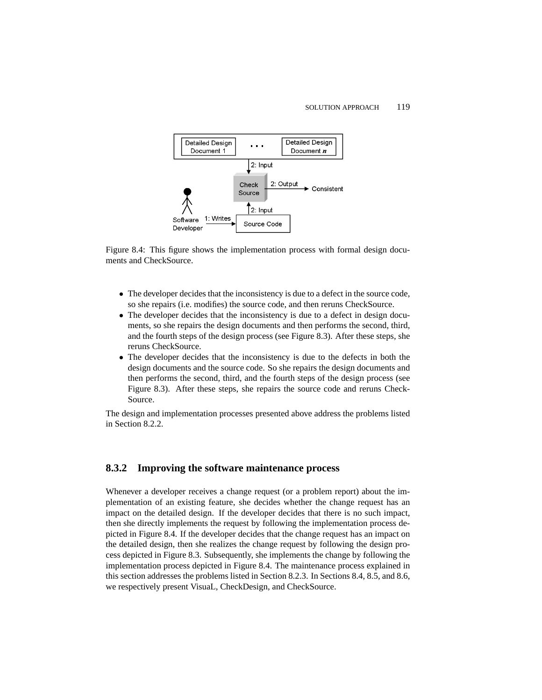

Figure 8.4: This figure shows the implementation process with formal design documents and CheckSource.

- The developer decides that the inconsistency is due to a defect in the source code, so she repairs (i.e. modifies) the source code, and then reruns CheckSource.
- The developer decides that the inconsistency is due to a defect in design documents, so she repairs the design documents and then performs the second, third, and the fourth steps of the design process (see Figure 8.3). After these steps, she reruns CheckSource.
- The developer decides that the inconsistency is due to the defects in both the design documents and the source code. So she repairs the design documents and then performs the second, third, and the fourth steps of the design process (see Figure 8.3). After these steps, she repairs the source code and reruns Check-Source.

The design and implementation processes presented above address the problems listed in Section 8.2.2.

#### **8.3.2 Improving the software maintenance process**

Whenever a developer receives a change request (or a problem report) about the implementation of an existing feature, she decides whether the change request has an impact on the detailed design. If the developer decides that there is no such impact, then she directly implements the request by following the implementation process depicted in Figure 8.4. If the developer decides that the change request has an impact on the detailed design, then she realizes the change request by following the design process depicted in Figure 8.3. Subsequently, she implements the change by following the implementation process depicted in Figure 8.4. The maintenance process explained in this section addresses the problems listed in Section 8.2.3. In Sections 8.4, 8.5, and 8.6, we respectively present VisuaL, CheckDesign, and CheckSource.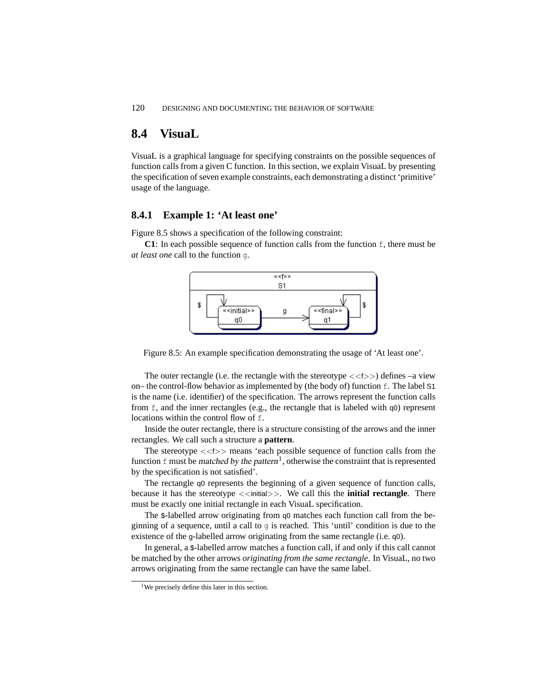# **8.4 VisuaL**

VisuaL is a graphical language for specifying constraints on the possible sequences of function calls from a given C function. In this section, we explain VisuaL by presenting the specification of seven example constraints, each demonstrating a distinct 'primitive' usage of the language.

#### **8.4.1 Example 1: 'At least one'**

Figure 8.5 shows a specification of the following constraint:

**C1**: In each possible sequence of function calls from the function  $f$ , there must be *at least one* call to the function g.



Figure 8.5: An example specification demonstrating the usage of 'At least one'.

The outer rectangle (i.e. the rectangle with the stereotype  $\langle \langle t \rangle \rangle$ ) defines –a view on– the control-flow behavior as implemented by (the body of) function  $f$ . The label S1 is the name (i.e. identifier) of the specification. The arrows represent the function calls from f, and the inner rectangles (e.g., the rectangle that is labeled with q0) represent locations within the control flow of f.

Inside the outer rectangle, there is a structure consisting of the arrows and the inner rectangles. We call such a structure a **pattern**.

The stereotype  $\langle \langle 5 \rangle \rangle$  means 'each possible sequence of function calls from the function f must be matched by the pattern<sup>1</sup>, otherwise the constraint that is represented by the specification is not satisfied'.

The rectangle q0 represents the beginning of a given sequence of function calls, because it has the stereotype <<initial>>. We call this the **initial rectangle**. There must be exactly one initial rectangle in each VisuaL specification.

The \$-labelled arrow originating from q0 matches each function call from the beginning of a sequence, until a call to  $q$  is reached. This 'until' condition is due to the existence of the g-labelled arrow originating from the same rectangle (i.e. q0).

In general, a \$-labelled arrow matches a function call, if and only if this call cannot be matched by the other arrows *originating from the same rectangle*. In VisuaL, no two arrows originating from the same rectangle can have the same label.

<sup>&</sup>lt;sup>1</sup>We precisely define this later in this section.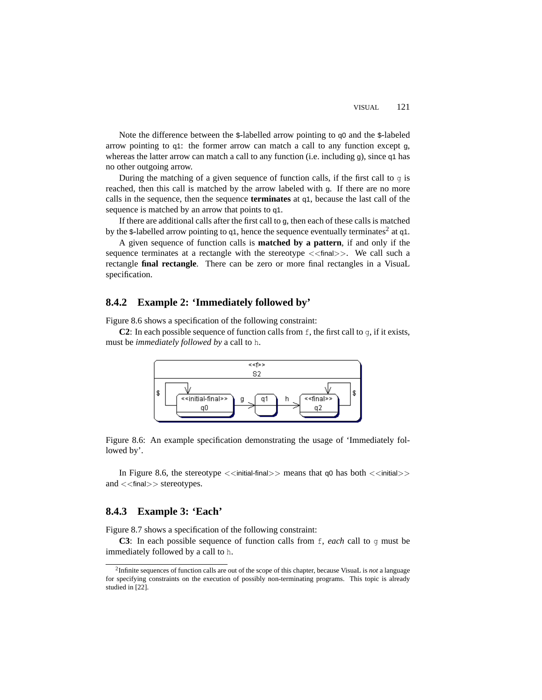Note the difference between the \$-labelled arrow pointing to q0 and the \$-labeled arrow pointing to q1: the former arrow can match a call to any function except g, whereas the latter arrow can match a call to any function (i.e. including g), since q1 has no other outgoing arrow.

During the matching of a given sequence of function calls, if the first call to g is reached, then this call is matched by the arrow labeled with g. If there are no more calls in the sequence, then the sequence **terminates** at q1, because the last call of the sequence is matched by an arrow that points to q1.

If there are additional calls after the first call to g, then each of these calls is matched by the \$-labelled arrow pointing to  $q_1$ , hence the sequence eventually terminates<sup>2</sup> at  $q_1$ .

A given sequence of function calls is **matched by a pattern**, if and only if the sequence terminates at a rectangle with the stereotype  $\lt$   $\lt$  final  $\gt$ . We call such a rectangle **final rectangle**. There can be zero or more final rectangles in a VisuaL specification.

## **8.4.2 Example 2: 'Immediately followed by'**

Figure 8.6 shows a specification of the following constraint:

**C2**: In each possible sequence of function calls from  $f$ , the first call to g, if it exists, must be *immediately followed by* a call to h.



Figure 8.6: An example specification demonstrating the usage of 'Immediately followed by'.

In Figure 8.6, the stereotype  $\langle$  initial-final>> means that q0 has both  $\langle$  initial>> and <<final>> stereotypes.

#### **8.4.3 Example 3: 'Each'**

Figure 8.7 shows a specification of the following constraint:

**C3**: In each possible sequence of function calls from f, *each* call to g must be immediately followed by a call to h.

<sup>2</sup>Infinite sequences of function calls are out of the scope of this chapter, because VisuaL is *not* a language for specifying constraints on the execution of possibly non-terminating programs. This topic is already studied in [22].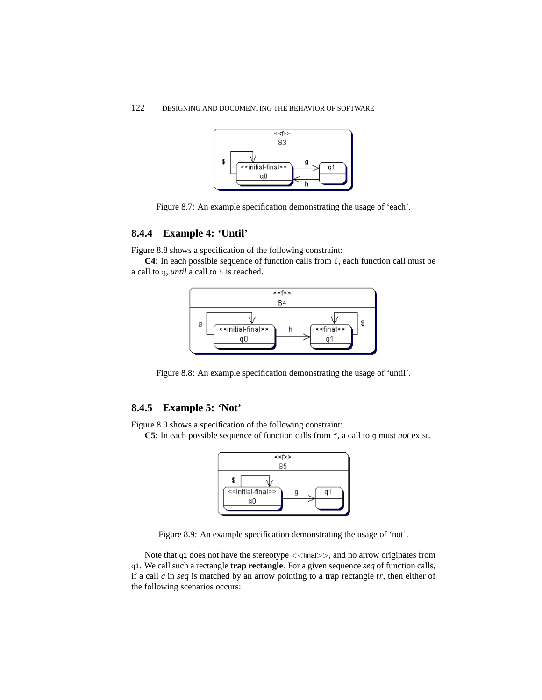

Figure 8.7: An example specification demonstrating the usage of 'each'.

# **8.4.4 Example 4: 'Until'**

Figure 8.8 shows a specification of the following constraint:

**C4**: In each possible sequence of function calls from f, each function call must be a call to g, *until* a call to h is reached.



Figure 8.8: An example specification demonstrating the usage of 'until'.

# **8.4.5 Example 5: 'Not'**

Figure 8.9 shows a specification of the following constraint:

**C5**: In each possible sequence of function calls from f, a call to g must *not* exist.



Figure 8.9: An example specification demonstrating the usage of 'not'.

Note that q1 does not have the stereotype  $\lt$  inal>>, and no arrow originates from q1. We call such a rectangle **trap rectangle**. For a given sequence *seq* of function calls, if a call *c* in *seq* is matched by an arrow pointing to a trap rectangle *tr*, then either of the following scenarios occurs: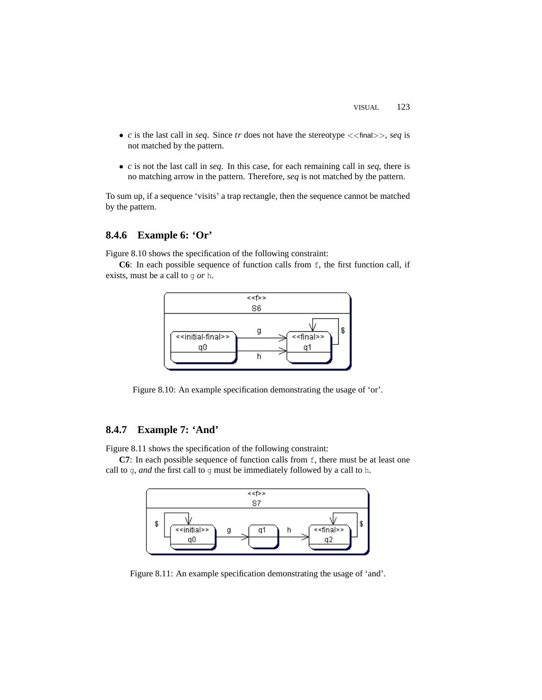- $c$  is the last call in *seq.* Since  $tr$  does not have the stereotype  $\lt$  final>>, *seq* is not matched by the pattern.
- *c* is not the last call in *seq*. In this case, for each remaining call in *seq*, there is no matching arrow in the pattern. Therefore, *seq* is not matched by the pattern.

To sum up, if a sequence 'visits' a trap rectangle, then the sequence cannot be matched by the pattern.

# **8.4.6 Example 6: 'Or'**

Figure 8.10 shows the specification of the following constraint:

**C6**: In each possible sequence of function calls from  $f$ , the first function call, if exists, must be a call to g *or* h.



Figure 8.10: An example specification demonstrating the usage of 'or'.

## **8.4.7 Example 7: 'And'**

Figure 8.11 shows the specification of the following constraint:

**C7**: In each possible sequence of function calls from f, there must be at least one call to g, *and* the first call to g must be immediately followed by a call to h.



Figure 8.11: An example specification demonstrating the usage of 'and'.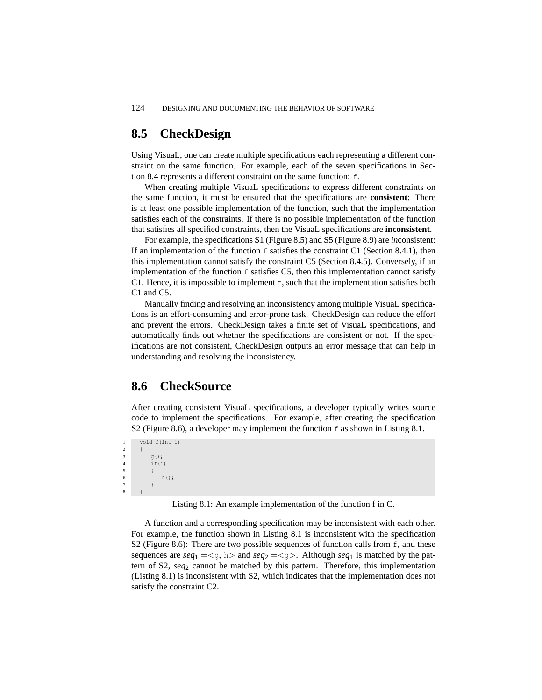# **8.5 CheckDesign**

Using VisuaL, one can create multiple specifications each representing a different constraint on the same function. For example, each of the seven specifications in Section 8.4 represents a different constraint on the same function: f.

When creating multiple VisuaL specifications to express different constraints on the same function, it must be ensured that the specifications are **consistent**: There is at least one possible implementation of the function, such that the implementation satisfies each of the constraints. If there is no possible implementation of the function that satisfies all specified constraints, then the VisuaL specifications are **inconsistent**.

For example, the specifications S1 (Figure 8.5) and S5 (Figure 8.9) are *in*consistent: If an implementation of the function  $f$  satisfies the constraint C1 (Section 8.4.1), then this implementation cannot satisfy the constraint C5 (Section 8.4.5). Conversely, if an implementation of the function f satisfies C5, then this implementation cannot satisfy C1. Hence, it is impossible to implement f, such that the implementation satisfies both C1 and C5.

Manually finding and resolving an inconsistency among multiple VisuaL specifications is an effort-consuming and error-prone task. CheckDesign can reduce the effort and prevent the errors. CheckDesign takes a finite set of VisuaL specifications, and automatically finds out whether the specifications are consistent or not. If the specifications are not consistent, CheckDesign outputs an error message that can help in understanding and resolving the inconsistency.

# **8.6 CheckSource**

After creating consistent VisuaL specifications, a developer typically writes source code to implement the specifications. For example, after creating the specification S2 (Figure 8.6), a developer may implement the function f as shown in Listing 8.1.

```
1 void f(int i)
2 {
3 g();
4 if(i)\{h();
7 }
8 }
```
Listing 8.1: An example implementation of the function f in C.

A function and a corresponding specification may be inconsistent with each other. For example, the function shown in Listing 8.1 is inconsistent with the specification S2 (Figure 8.6): There are two possible sequences of function calls from  $f$ , and these sequences are  $seq_1 = \leq q$ , h and  $seq_2 = \leq q$ . Although  $seq_1$  is matched by the pattern of S2, *seq*<sup>2</sup> cannot be matched by this pattern. Therefore, this implementation (Listing 8.1) is inconsistent with S2, which indicates that the implementation does not satisfy the constraint C2.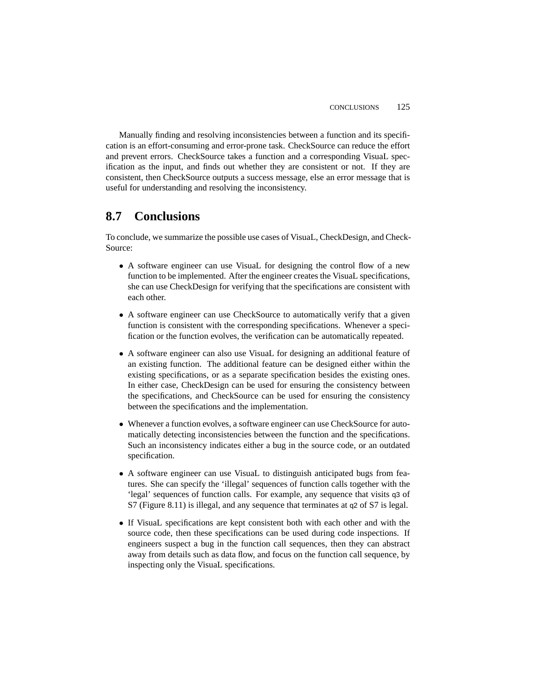Manually finding and resolving inconsistencies between a function and its specification is an effort-consuming and error-prone task. CheckSource can reduce the effort and prevent errors. CheckSource takes a function and a corresponding VisuaL specification as the input, and finds out whether they are consistent or not. If they are consistent, then CheckSource outputs a success message, else an error message that is useful for understanding and resolving the inconsistency.

# **8.7 Conclusions**

To conclude, we summarize the possible use cases of VisuaL, CheckDesign, and Check-Source:

- A software engineer can use VisuaL for designing the control flow of a new function to be implemented. After the engineer creates the VisuaL specifications, she can use CheckDesign for verifying that the specifications are consistent with each other.
- A software engineer can use CheckSource to automatically verify that a given function is consistent with the corresponding specifications. Whenever a specification or the function evolves, the verification can be automatically repeated.
- A software engineer can also use VisuaL for designing an additional feature of an existing function. The additional feature can be designed either within the existing specifications, or as a separate specification besides the existing ones. In either case, CheckDesign can be used for ensuring the consistency between the specifications, and CheckSource can be used for ensuring the consistency between the specifications and the implementation.
- Whenever a function evolves, a software engineer can use CheckSource for automatically detecting inconsistencies between the function and the specifications. Such an inconsistency indicates either a bug in the source code, or an outdated specification.
- A software engineer can use VisuaL to distinguish anticipated bugs from features. She can specify the 'illegal' sequences of function calls together with the 'legal' sequences of function calls. For example, any sequence that visits q3 of S7 (Figure 8.11) is illegal, and any sequence that terminates at q2 of S7 is legal.
- If VisuaL specifications are kept consistent both with each other and with the source code, then these specifications can be used during code inspections. If engineers suspect a bug in the function call sequences, then they can abstract away from details such as data flow, and focus on the function call sequence, by inspecting only the VisuaL specifications.